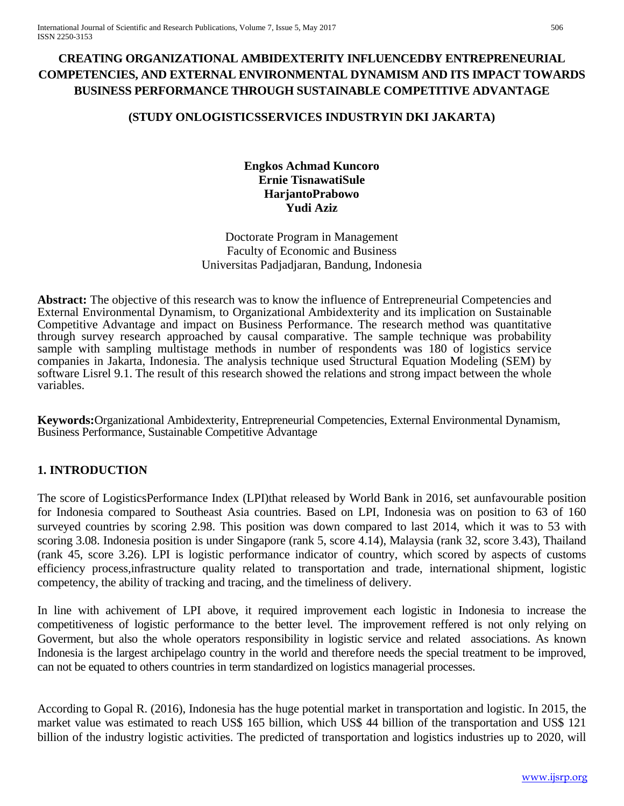# **CREATING ORGANIZATIONAL AMBIDEXTERITY INFLUENCEDBY ENTREPRENEURIAL COMPETENCIES, AND EXTERNAL ENVIRONMENTAL DYNAMISM AND ITS IMPACT TOWARDS BUSINESS PERFORMANCE THROUGH SUSTAINABLE COMPETITIVE ADVANTAGE**

### **(STUDY ONLOGISTICSSERVICES INDUSTRYIN DKI JAKARTA)**

### **Engkos Achmad Kuncoro Ernie TisnawatiSule HarjantoPrabowo Yudi Aziz**

Doctorate Program in Management Faculty of Economic and Business Universitas Padjadjaran, Bandung, Indonesia

**Abstract:** The objective of this research was to know the influence of Entrepreneurial Competencies and External Environmental Dynamism, to Organizational Ambidexterity and its implication on Sustainable Competitive Advantage and impact on Business Performance. The research method was quantitative through survey research approached by causal comparative. The sample technique was probability sample with sampling multistage methods in number of respondents was 180 of logistics service companies in Jakarta, Indonesia. The analysis technique used Structural Equation Modeling (SEM) by software Lisrel 9.1. The result of this research showed the relations and strong impact between the whole variables.

**Keywords:**Organizational Ambidexterity, Entrepreneurial Competencies, External Environmental Dynamism, Business Performance, Sustainable Competitive Advantage

# **1. INTRODUCTION**

The score of LogisticsPerformance Index (LPI)that released by World Bank in 2016, set aunfavourable position for Indonesia compared to Southeast Asia countries. Based on LPI, Indonesia was on position to 63 of 160 surveyed countries by scoring 2.98. This position was down compared to last 2014, which it was to 53 with scoring 3.08. Indonesia position is under Singapore (rank 5, score 4.14), Malaysia (rank 32, score 3.43), Thailand (rank 45, score 3.26). LPI is logistic performance indicator of country, which scored by aspects of customs efficiency process,infrastructure quality related to transportation and trade, international shipment, logistic competency, the ability of tracking and tracing, and the timeliness of delivery.

In line with achivement of LPI above, it required improvement each logistic in Indonesia to increase the competitiveness of logistic performance to the better level. The improvement reffered is not only relying on Goverment, but also the whole operators responsibility in logistic service and related associations. As known Indonesia is the largest archipelago country in the world and therefore needs the special treatment to be improved, can not be equated to others countries in term standardized on logistics managerial processes.

According to Gopal R. (2016), Indonesia has the huge potential market in transportation and logistic. In 2015, the market value was estimated to reach US\$ 165 billion, which US\$ 44 billion of the transportation and US\$ 121 billion of the industry logistic activities. The predicted of transportation and logistics industries up to 2020, will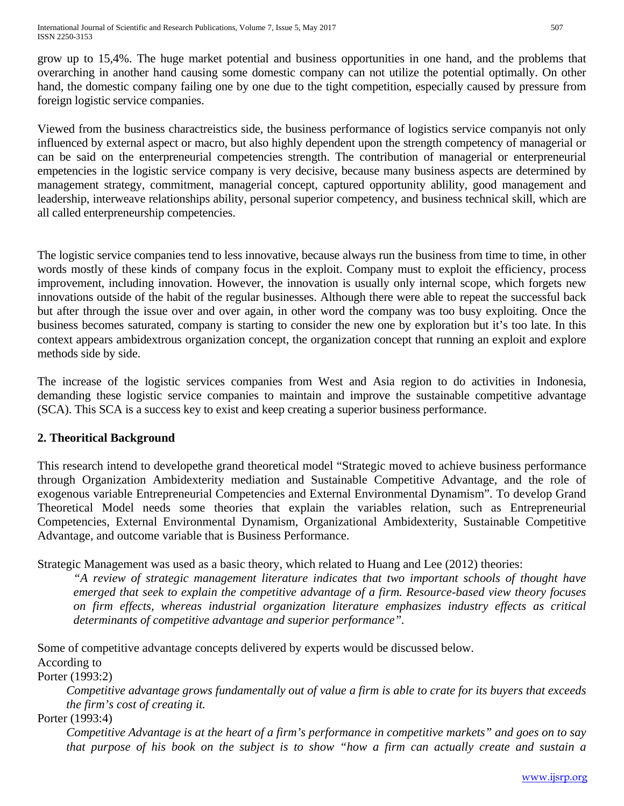grow up to 15,4%. The huge market potential and business opportunities in one hand, and the problems that overarching in another hand causing some domestic company can not utilize the potential optimally. On other hand, the domestic company failing one by one due to the tight competition, especially caused by pressure from foreign logistic service companies.

Viewed from the business charactreistics side, the business performance of logistics service companyis not only influenced by external aspect or macro, but also highly dependent upon the strength competency of managerial or can be said on the enterpreneurial competencies strength. The contribution of managerial or enterpreneurial empetencies in the logistic service company is very decisive, because many business aspects are determined by management strategy, commitment, managerial concept, captured opportunity ablility, good management and leadership, interweave relationships ability, personal superior competency, and business technical skill, which are all called enterpreneurship competencies.

The logistic service companies tend to less innovative, because always run the business from time to time, in other words mostly of these kinds of company focus in the exploit. Company must to exploit the efficiency, process improvement, including innovation. However, the innovation is usually only internal scope, which forgets new innovations outside of the habit of the regular businesses. Although there were able to repeat the successful back but after through the issue over and over again, in other word the company was too busy exploiting. Once the business becomes saturated, company is starting to consider the new one by exploration but it's too late. In this context appears ambidextrous organization concept, the organization concept that running an exploit and explore methods side by side.

The increase of the logistic services companies from West and Asia region to do activities in Indonesia, demanding these logistic service companies to maintain and improve the sustainable competitive advantage (SCA). This SCA is a success key to exist and keep creating a superior business performance.

## **2. Theoritical Background**

This research intend to developethe grand theoretical model "Strategic moved to achieve business performance through Organization Ambidexterity mediation and Sustainable Competitive Advantage, and the role of exogenous variable Entrepreneurial Competencies and External Environmental Dynamism". To develop Grand Theoretical Model needs some theories that explain the variables relation, such as Entrepreneurial Competencies, External Environmental Dynamism, Organizational Ambidexterity, Sustainable Competitive Advantage, and outcome variable that is Business Performance.

Strategic Management was used as a basic theory, which related to Huang and Lee (2012) theories:

*"A review of strategic management literature indicates that two important schools of thought have emerged that seek to explain the competitive advantage of a firm. Resource-based view theory focuses on firm effects, whereas industrial organization literature emphasizes industry effects as critical determinants of competitive advantage and superior performance".*

Some of competitive advantage concepts delivered by experts would be discussed below.

According to

Porter (1993:2)

*Competitive advantage grows fundamentally out of value a firm is able to crate for its buyers that exceeds the firm's cost of creating it.*

Porter (1993:4)

*Competitive Advantage is at the heart of a firm's performance in competitive markets" and goes on to say that purpose of his book on the subject is to show "how a firm can actually create and sustain a*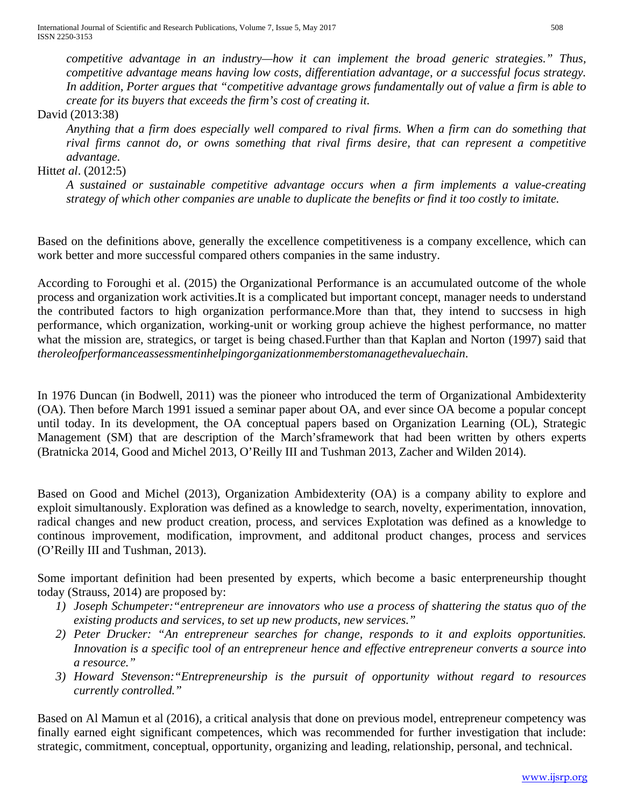*competitive advantage in an industry—how it can implement the broad generic strategies." Thus, competitive advantage means having low costs, differentiation advantage, or a successful focus strategy. In addition, Porter argues that "competitive advantage grows fundamentally out of value a firm is able to create for its buyers that exceeds the firm's cost of creating it.*

David (2013:38)

*Anything that a firm does especially well compared to rival firms. When a firm can do something that rival firms cannot do, or owns something that rival firms desire, that can represent a competitive advantage.*

### Hitt*et al*. (2012:5)

*A sustained or sustainable competitive advantage occurs when a firm implements a value-creating strategy of which other companies are unable to duplicate the benefits or find it too costly to imitate.*

Based on the definitions above, generally the excellence competitiveness is a company excellence, which can work better and more successful compared others companies in the same industry.

According to Foroughi et al. (2015) the Organizational Performance is an accumulated outcome of the whole process and organization work activities.It is a complicated but important concept, manager needs to understand the contributed factors to high organization performance.More than that, they intend to succsess in high performance, which organization, working-unit or working group achieve the highest performance, no matter what the mission are, strategics, or target is being chased.Further than that Kaplan and Norton (1997) said that *theroleofperformanceassessmentinhelpingorganizationmemberstomanagethevaluechain*.

In 1976 Duncan (in Bodwell, 2011) was the pioneer who introduced the term of Organizational Ambidexterity (OA). Then before March 1991 issued a seminar paper about OA, and ever since OA become a popular concept until today. In its development, the OA conceptual papers based on Organization Learning (OL), Strategic Management (SM) that are description of the March'sframework that had been written by others experts (Bratnicka 2014, Good and Michel 2013, O'Reilly III and Tushman 2013, Zacher and Wilden 2014).

Based on Good and Michel (2013), Organization Ambidexterity (OA) is a company ability to explore and exploit simultanously. Exploration was defined as a knowledge to search, novelty, experimentation, innovation, radical changes and new product creation, process, and services Explotation was defined as a knowledge to continous improvement, modification, improvment, and additonal product changes, process and services (O'Reilly III and Tushman, 2013).

Some important definition had been presented by experts, which become a basic enterpreneurship thought today (Strauss, 2014) are proposed by:

- *1) Joseph Schumpeter:"entrepreneur are innovators who use a process of shattering the status quo of the existing products and services, to set up new products, new services."*
- *2) Peter Drucker: "An entrepreneur searches for change, responds to it and exploits opportunities. Innovation is a specific tool of an entrepreneur hence and effective entrepreneur converts a source into a resource."*
- *3) Howard Stevenson:"Entrepreneurship is the pursuit of opportunity without regard to resources currently controlled."*

Based on Al Mamun et al (2016), a critical analysis that done on previous model, entrepreneur competency was finally earned eight significant competences, which was recommended for further investigation that include: strategic, commitment, conceptual, opportunity, organizing and leading, relationship, personal, and technical.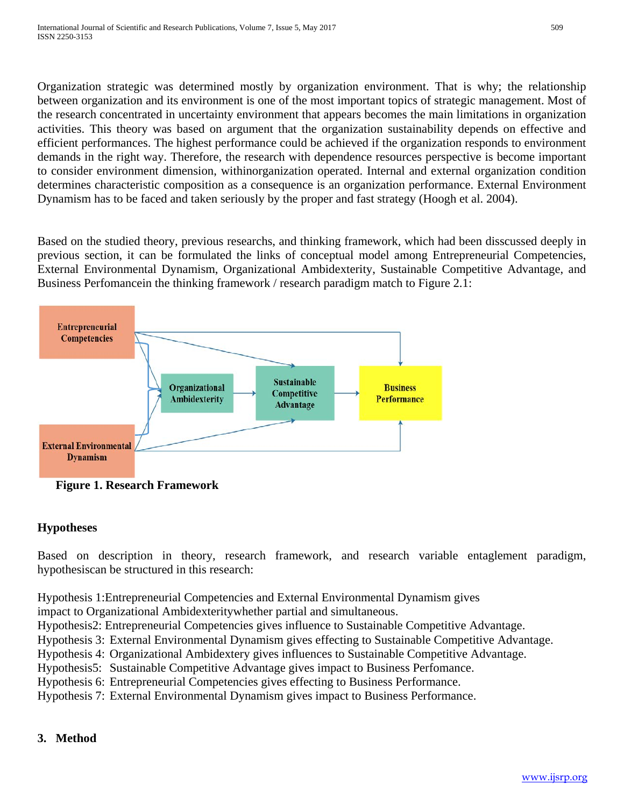Organization strategic was determined mostly by organization environment. That is why; the relationship between organization and its environment is one of the most important topics of strategic management. Most of the research concentrated in uncertainty environment that appears becomes the main limitations in organization activities. This theory was based on argument that the organization sustainability depends on effective and efficient performances. The highest performance could be achieved if the organization responds to environment demands in the right way. Therefore, the research with dependence resources perspective is become important to consider environment dimension, withinorganization operated. Internal and external organization condition determines characteristic composition as a consequence is an organization performance. External Environment Dynamism has to be faced and taken seriously by the proper and fast strategy (Hoogh et al. 2004).

Based on the studied theory, previous researchs, and thinking framework, which had been disscussed deeply in previous section, it can be formulated the links of conceptual model among Entrepreneurial Competencies, External Environmental Dynamism, Organizational Ambidexterity, Sustainable Competitive Advantage, and Business Perfomancein the thinking framework / research paradigm match to Figure 2.1:



**Figure 1. Research Framework**

## **Hypotheses**

Based on description in theory, research framework, and research variable entaglement paradigm, hypothesiscan be structured in this research:

Hypothesis 1:Entrepreneurial Competencies and External Environmental Dynamism gives

impact to Organizational Ambidexteritywhether partial and simultaneous.

Hypothesis2: Entrepreneurial Competencies gives influence to Sustainable Competitive Advantage.

Hypothesis 3: External Environmental Dynamism gives effecting to Sustainable Competitive Advantage.

Hypothesis 4: Organizational Ambidextery gives influences to Sustainable Competitive Advantage.

Hypothesis5: Sustainable Competitive Advantage gives impact to Business Perfomance.

Hypothesis 6: Entrepreneurial Competencies gives effecting to Business Performance.

Hypothesis 7: External Environmental Dynamism gives impact to Business Performance.

## **3. Method**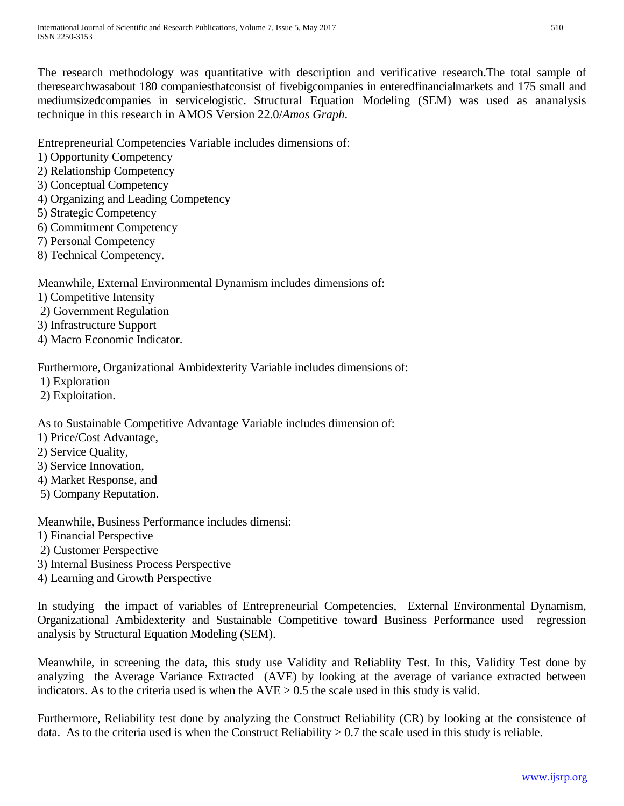The research methodology was quantitative with description and verificative research.The total sample of theresearchwasabout 180 companiesthatconsist of fivebigcompanies in enteredfinancialmarkets and 175 small and mediumsizedcompanies in servicelogistic. Structural Equation Modeling (SEM) was used as ananalysis technique in this research in AMOS Version 22.0/*Amos Graph*.

Entrepreneurial Competencies Variable includes dimensions of:

- 1) Opportunity Competency
- 2) Relationship Competency
- 3) Conceptual Competency
- 4) Organizing and Leading Competency
- 5) Strategic Competency
- 6) Commitment Competency
- 7) Personal Competency
- 8) Technical Competency.

Meanwhile, External Environmental Dynamism includes dimensions of:

- 1) Competitive Intensity
- 2) Government Regulation
- 3) Infrastructure Support
- 4) Macro Economic Indicator.

Furthermore, Organizational Ambidexterity Variable includes dimensions of:

- 1) Exploration
- 2) Exploitation.

As to Sustainable Competitive Advantage Variable includes dimension of:

- 1) Price/Cost Advantage,
- 2) Service Quality,
- 3) Service Innovation,
- 4) Market Response, and
- 5) Company Reputation.

Meanwhile, Business Performance includes dimensi:

- 1) Financial Perspective
- 2) Customer Perspective
- 3) Internal Business Process Perspective
- 4) Learning and Growth Perspective

In studying the impact of variables of Entrepreneurial Competencies, External Environmental Dynamism, Organizational Ambidexterity and Sustainable Competitive toward Business Performance used regression analysis by Structural Equation Modeling (SEM).

Meanwhile, in screening the data, this study use Validity and Reliablity Test. In this, Validity Test done by analyzing the Average Variance Extracted (AVE) by looking at the average of variance extracted between indicators. As to the criteria used is when the  $AVE > 0.5$  the scale used in this study is valid.

Furthermore, Reliability test done by analyzing the Construct Reliability (CR) by looking at the consistence of data. As to the criteria used is when the Construct Reliability  $> 0.7$  the scale used in this study is reliable.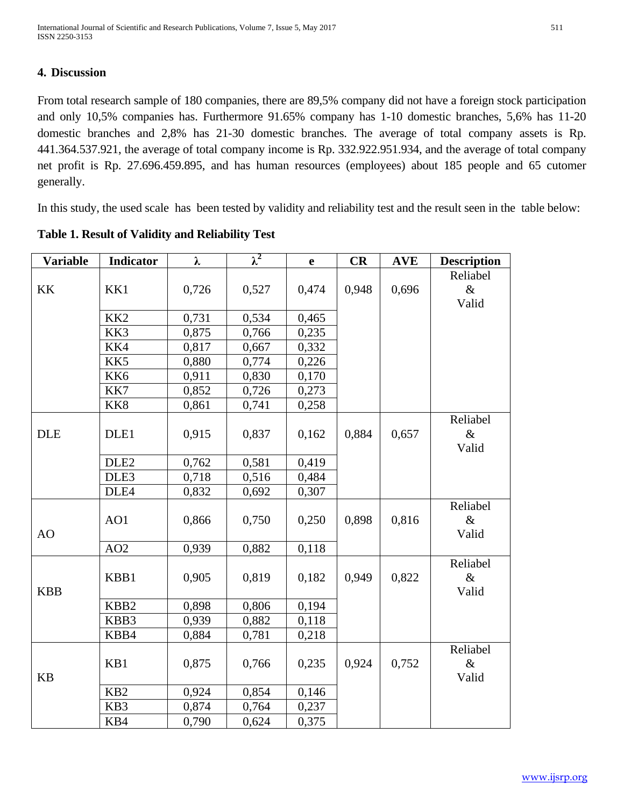### **4. Discussion**

From total research sample of 180 companies, there are 89,5% company did not have a foreign stock participation and only 10,5% companies has. Furthermore 91.65% company has 1-10 domestic branches, 5,6% has 11-20 domestic branches and 2,8% has 21-30 domestic branches. The average of total company assets is Rp. 441.364.537.921, the average of total company income is Rp. 332.922.951.934, and the average of total company net profit is Rp. 27.696.459.895, and has human resources (employees) about 185 people and 65 cutomer generally.

In this study, the used scale has been tested by validity and reliability test and the result seen in the table below:

| <b>Variable</b> | <b>Indicator</b> | λ     | $\lambda^2$ | $\mathbf e$ | CR    | <b>AVE</b> | <b>Description</b> |
|-----------------|------------------|-------|-------------|-------------|-------|------------|--------------------|
|                 |                  |       |             |             |       |            | Reliabel           |
| KK              | KK1              | 0,726 | 0,527       | 0,474       | 0,948 | 0,696      | $\&$               |
|                 |                  |       |             |             |       |            | Valid              |
|                 | KK <sub>2</sub>  | 0,731 | 0,534       | 0,465       |       |            |                    |
|                 | KK3              | 0,875 | 0,766       | 0,235       |       |            |                    |
|                 | KK4              | 0,817 | 0,667       | 0,332       |       |            |                    |
|                 | KK5              | 0,880 | 0,774       | 0,226       |       |            |                    |
|                 | KK6              | 0,911 | 0,830       | 0,170       |       |            |                    |
|                 | KK7              | 0,852 | 0,726       | 0,273       |       |            |                    |
|                 | KK8              | 0,861 | 0,741       | 0,258       |       |            |                    |
|                 |                  |       |             |             |       |            | Reliabel           |
| <b>DLE</b>      | DLE1             | 0,915 | 0,837       | 0,162       | 0,884 | 0,657      | $\&$               |
|                 |                  |       |             |             |       |            | Valid              |
|                 | DLE <sub>2</sub> | 0,762 | 0,581       | 0,419       |       |            |                    |
|                 | DLE3             | 0,718 | 0,516       | 0,484       |       |            |                    |
|                 | DLE4             | 0,832 | 0,692       | 0,307       |       |            |                    |
|                 |                  |       |             |             |       |            | Reliabel           |
|                 | AO1              | 0,866 | 0,750       | 0,250       | 0,898 | 0,816      | $\&$               |
| AO              |                  |       |             |             |       |            | Valid              |
|                 | AO2              | 0,939 | 0,882       | 0,118       |       |            |                    |
|                 |                  |       |             |             |       |            | Reliabel           |
|                 | KBB1             | 0,905 | 0,819       | 0,182       | 0,949 | 0,822      | $\&$               |
| <b>KBB</b>      |                  |       |             |             |       |            | Valid              |
|                 | KBB <sub>2</sub> | 0,898 | 0,806       | 0,194       |       |            |                    |
|                 | KBB3             | 0,939 | 0,882       | 0,118       |       |            |                    |
|                 | KBB4             | 0,884 | 0,781       | 0,218       |       |            |                    |
|                 |                  |       |             |             |       |            | Reliabel           |
|                 | KB1              | 0,875 | 0,766       | 0,235       | 0,924 | 0,752      | $\&$               |
| <b>KB</b>       |                  |       |             |             |       |            | Valid              |
|                 | KB <sub>2</sub>  | 0,924 | 0,854       | 0,146       |       |            |                    |
|                 | KB3              | 0,874 | 0,764       | 0,237       |       |            |                    |
|                 | KB4              | 0,790 | 0,624       | 0,375       |       |            |                    |

#### **Table 1. Result of Validity and Reliability Test**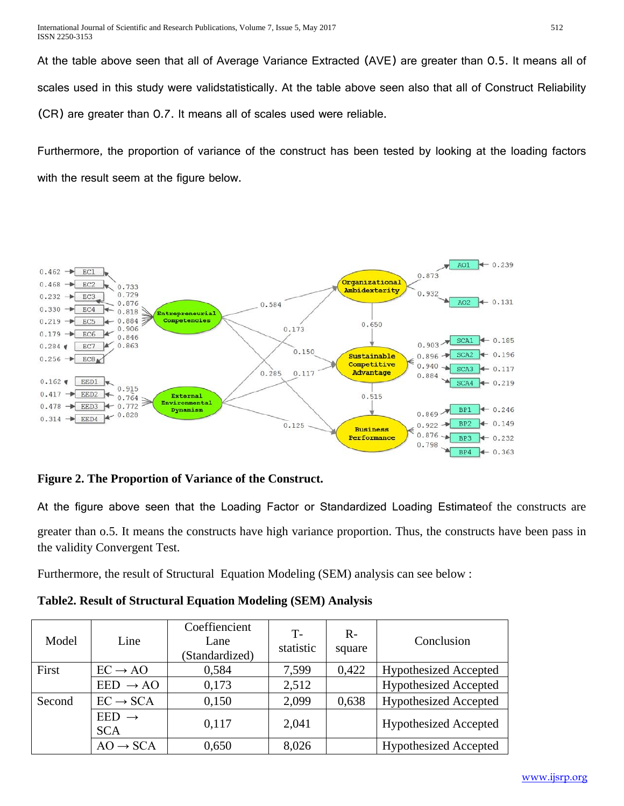At the table above seen that all of Average Variance Extracted (AVE) are greater than 0.5. It means all of scales used in this study were validstatistically. At the table above seen also that all of Construct Reliability (CR) are greater than 0.7. It means all of scales used were reliable.

Furthermore, the proportion of variance of the construct has been tested by looking at the loading factors with the result seem at the figure below.



## **Figure 2. The Proportion of Variance of the Construct.**

At the figure above seen that the Loading Factor or Standardized Loading Estimateof the constructs are

greater than o.5. It means the constructs have high variance proportion. Thus, the constructs have been pass in the validity Convergent Test.

Furthermore, the result of Structural Equation Modeling (SEM) analysis can see below :

|  |  | <b>Table 2. Result of Structural Equation Modeling (SEM) Analysis</b> |  |
|--|--|-----------------------------------------------------------------------|--|
|  |  |                                                                       |  |

| Model  | Line                            | Coeffiencient<br>Lane<br>(Standardized) | $T-$<br>statistic | $R -$<br>square | Conclusion                   |
|--------|---------------------------------|-----------------------------------------|-------------------|-----------------|------------------------------|
| First  | $EC \rightarrow AO$             | 0,584                                   | 7,599             | 0,422           | <b>Hypothesized Accepted</b> |
|        | $EED \rightarrow AO$            | 0,173                                   | 2,512             |                 | <b>Hypothesized Accepted</b> |
| Second | $EC \rightarrow SCA$            | 0,150                                   | 2,099             | 0,638           | <b>Hypothesized Accepted</b> |
|        | $EED \rightarrow$<br><b>SCA</b> | 0,117                                   | 2,041             |                 | <b>Hypothesized Accepted</b> |
|        | $AO \rightarrow SCA$            | 0,650                                   | 8,026             |                 | <b>Hypothesized Accepted</b> |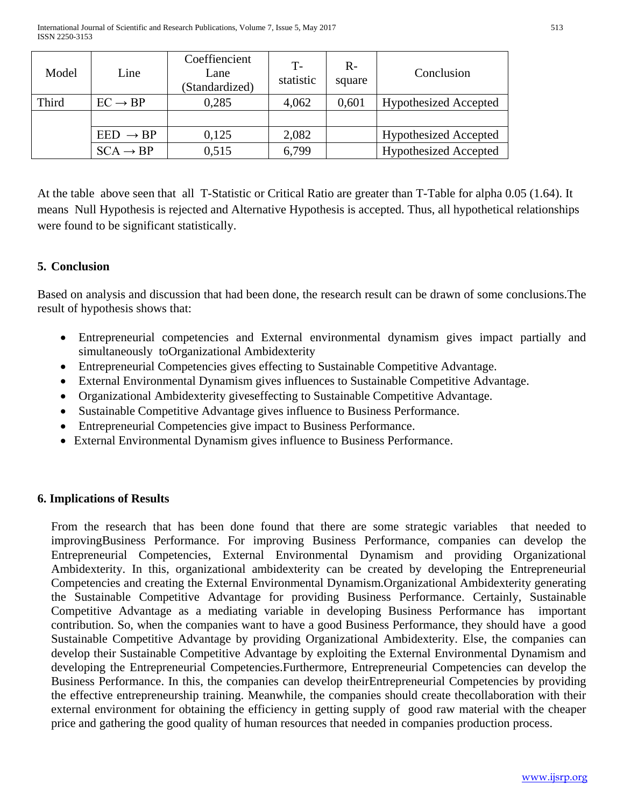| Model | Line                 | Coeffiencient<br>Lane<br>(Standardized) | $T-$<br>statistic | $R -$<br>square | Conclusion                   |
|-------|----------------------|-----------------------------------------|-------------------|-----------------|------------------------------|
| Third | $EC \rightarrow BP$  | 0,285                                   | 4,062             | 0,601           | <b>Hypothesized Accepted</b> |
|       |                      |                                         |                   |                 |                              |
|       | $EED \rightarrow BP$ | 0,125                                   | 2,082             |                 | <b>Hypothesized Accepted</b> |
|       | $SCA \rightarrow BP$ | 0,515                                   | 6,799             |                 | <b>Hypothesized Accepted</b> |

At the table above seen that all T-Statistic or Critical Ratio are greater than T-Table for alpha 0.05 (1.64). It means Null Hypothesis is rejected and Alternative Hypothesis is accepted. Thus, all hypothetical relationships were found to be significant statistically.

### **5. Conclusion**

Based on analysis and discussion that had been done, the research result can be drawn of some conclusions.The result of hypothesis shows that:

- Entrepreneurial competencies and External environmental dynamism gives impact partially and simultaneously toOrganizational Ambidexterity
- Entrepreneurial Competencies gives effecting to Sustainable Competitive Advantage.
- External Environmental Dynamism gives influences to Sustainable Competitive Advantage.
- Organizational Ambidexterity giveseffecting to Sustainable Competitive Advantage.
- Sustainable Competitive Advantage gives influence to Business Performance.
- Entrepreneurial Competencies give impact to Business Performance.
- External Environmental Dynamism gives influence to Business Performance.

#### **6. Implications of Results**

From the research that has been done found that there are some strategic variables that needed to improvingBusiness Performance. For improving Business Performance, companies can develop the Entrepreneurial Competencies, External Environmental Dynamism and providing Organizational Ambidexterity. In this, organizational ambidexterity can be created by developing the Entrepreneurial Competencies and creating the External Environmental Dynamism.Organizational Ambidexterity generating the Sustainable Competitive Advantage for providing Business Performance. Certainly, Sustainable Competitive Advantage as a mediating variable in developing Business Performance has important contribution. So, when the companies want to have a good Business Performance, they should have a good Sustainable Competitive Advantage by providing Organizational Ambidexterity. Else, the companies can develop their Sustainable Competitive Advantage by exploiting the External Environmental Dynamism and developing the Entrepreneurial Competencies.Furthermore, Entrepreneurial Competencies can develop the Business Performance. In this, the companies can develop theirEntrepreneurial Competencies by providing the effective entrepreneurship training. Meanwhile, the companies should create thecollaboration with their external environment for obtaining the efficiency in getting supply of good raw material with the cheaper price and gathering the good quality of human resources that needed in companies production process.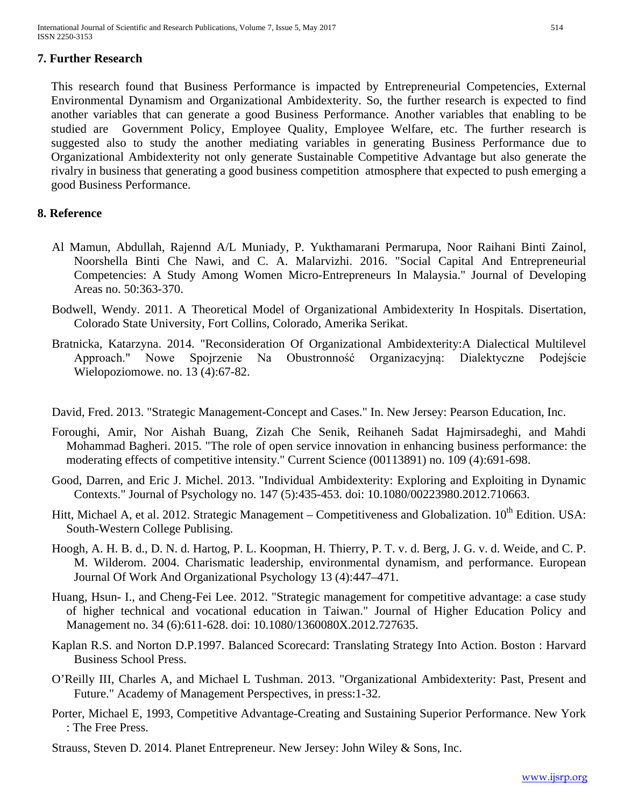International Journal of Scientific and Research Publications, Volume 7, Issue 5, May 2017 514 ISSN 2250-3153

#### **7. Further Research**

This research found that Business Performance is impacted by Entrepreneurial Competencies, External Environmental Dynamism and Organizational Ambidexterity. So, the further research is expected to find another variables that can generate a good Business Performance. Another variables that enabling to be studied are Government Policy, Employee Quality, Employee Welfare, etc. The further research is suggested also to study the another mediating variables in generating Business Performance due to Organizational Ambidexterity not only generate Sustainable Competitive Advantage but also generate the rivalry in business that generating a good business competition atmosphere that expected to push emerging a good Business Performance.

#### **8. Reference**

- Al Mamun, Abdullah, Rajennd A/L Muniady, P. Yukthamarani Permarupa, Noor Raihani Binti Zainol, Noorshella Binti Che Nawi, and C. A. Malarvizhi. 2016. "Social Capital And Entrepreneurial Competencies: A Study Among Women Micro-Entrepreneurs In Malaysia." Journal of Developing Areas no. 50:363-370.
- Bodwell, Wendy. 2011. A Theoretical Model of Organizational Ambidexterity In Hospitals. Disertation, Colorado State University, Fort Collins, Colorado, Amerika Serikat.
- Bratnicka, Katarzyna. 2014. "Reconsideration Of Organizational Ambidexterity:A Dialectical Multilevel Approach." Nowe Spojrzenie Na Obustronność Organizacyjną: Dialektyczne Podejście Wielopoziomowe. no. 13 (4):67-82.
- David, Fred. 2013. "Strategic Management-Concept and Cases." In. New Jersey: Pearson Education, Inc.
- Foroughi, Amir, Nor Aishah Buang, Zizah Che Senik, Reihaneh Sadat Hajmirsadeghi, and Mahdi Mohammad Bagheri. 2015. "The role of open service innovation in enhancing business performance: the moderating effects of competitive intensity." Current Science (00113891) no. 109 (4):691-698.
- Good, Darren, and Eric J. Michel. 2013. "Individual Ambidexterity: Exploring and Exploiting in Dynamic Contexts." Journal of Psychology no. 147 (5):435-453. doi: 10.1080/00223980.2012.710663.
- Hitt, Michael A, et al. 2012. Strategic Management Competitiveness and Globalization. 10<sup>th</sup> Edition. USA: South-Western College Publising.
- Hoogh, A. H. B. d., D. N. d. Hartog, P. L. Koopman, H. Thierry, P. T. v. d. Berg, J. G. v. d. Weide, and C. P. M. Wilderom. 2004. Charismatic leadership, environmental dynamism, and performance. European Journal Of Work And Organizational Psychology 13 (4):447–471.
- Huang, Hsun- I., and Cheng-Fei Lee. 2012. "Strategic management for competitive advantage: a case study of higher technical and vocational education in Taiwan." Journal of Higher Education Policy and Management no. 34 (6):611-628. doi: 10.1080/1360080X.2012.727635.
- Kaplan R.S. and Norton D.P.1997. Balanced Scorecard: Translating Strategy Into Action. Boston : Harvard Business School Press.
- O'Reilly III, Charles A, and Michael L Tushman. 2013. "Organizational Ambidexterity: Past, Present and Future." Academy of Management Perspectives, in press:1-32.
- Porter, Michael E, 1993, Competitive Advantage-Creating and Sustaining Superior Performance. New York : The Free Press.
- Strauss, Steven D. 2014. Planet Entrepreneur. New Jersey: John Wiley & Sons, Inc.